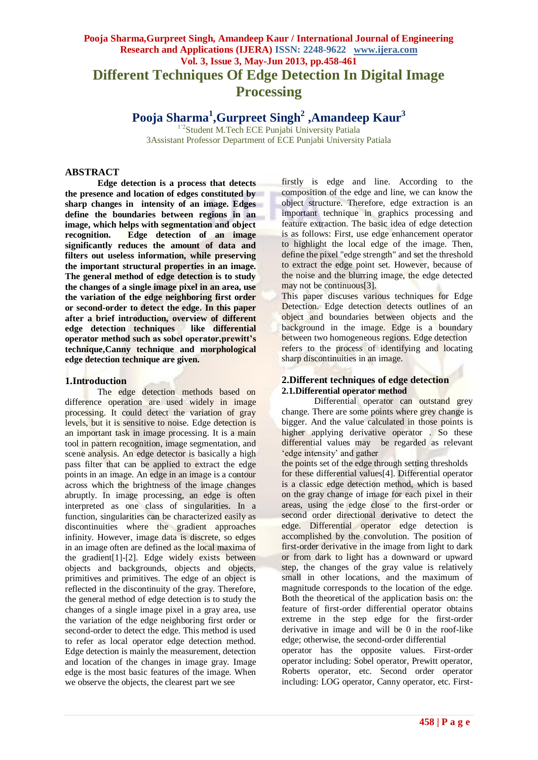# **Pooja Sharma,Gurpreet Singh, Amandeep Kaur / International Journal of Engineering Research and Applications (IJERA) ISSN: 2248-9622 www.ijera.com Vol. 3, Issue 3, May-Jun 2013, pp.458-461 Different Techniques Of Edge Detection In Digital Image Processing**

**Pooja Sharma<sup>1</sup> ,Gurpreet Singh<sup>2</sup> ,Amandeep Kaur<sup>3</sup>**

<sup>1'2</sup>Student M.Tech ECE Punjabi University Patiala 3Assistant Professor Department of ECE Punjabi University Patiala

# **ABSTRACT**

**Edge detection is a process that detects the presence and location of edges constituted by sharp changes in intensity of an image. Edges define the boundaries between regions in an image, which helps with segmentation and object recognition. Edge detection of an image significantly reduces the amount of data and filters out useless information, while preserving the important structural properties in an image. The general method of edge detection is to study the changes of a single image pixel in an area, use the variation of the edge neighboring first order or second-order to detect the edge. In this paper after a brief introduction, overview of different edge detection techniques like differential operator method such as sobel operator,prewitt's technique,Canny technique and morphological edge detection technique are given.**

### **1.Introduction**

The edge detection methods based on difference operation are used widely in image processing. It could detect the variation of gray levels, but it is sensitive to noise. Edge detection is an important task in image processing. It is a main tool in pattern recognition, image segmentation, and scene analysis. An edge detector is basically a high pass filter that can be applied to extract the edge points in an image. An edge in an image is a contour across which the brightness of the image changes abruptly. In image processing, an edge is often interpreted as one class of singularities. In a function, singularities can be characterized easily as discontinuities where the gradient approaches infinity. However, image data is discrete, so edges in an image often are defined as the local maxima of the gradient[1]-[2]. Edge widely exists between objects and backgrounds, objects and objects, primitives and primitives. The edge of an object is reflected in the discontinuity of the gray. Therefore, the general method of edge detection is to study the changes of a single image pixel in a gray area, use the variation of the edge neighboring first order or second-order to detect the edge. This method is used to refer as local operator edge detection method. Edge detection is mainly the measurement, detection and location of the changes in image gray. Image edge is the most basic features of the image. When we observe the objects, the clearest part we see

firstly is edge and line. According to the composition of the edge and line, we can know the object structure. Therefore, edge extraction is an important technique in graphics processing and feature extraction. The basic idea of edge detection is as follows: First, use edge enhancement operator to highlight the local edge of the image. Then, define the pixel "edge strength" and set the threshold to extract the edge point set. However, because of the noise and the blurring image, the edge detected may not be continuous[3].

This paper discuses various techniques for Edge Detection. Edge detection detects outlines of an object and boundaries between objects and the background in the image. Edge is a boundary between two homogeneous regions. Edge detection refers to the process of identifying and locating sharp discontinuities in an image.

# **2.Different techniques of edge detection 2.1.Differential operator method**

Differential operator can outstand grey change. There are some points where grey change is bigger. And the value calculated in those points is higher applying derivative operator . So these differential values may be regarded as relevant 'edge intensity' and gather

the points set of the edge through setting thresholds for these differential values[4]. Differential operator is a classic edge detection method, which is based on the gray change of image for each pixel in their areas, using the edge close to the first-order or second order directional derivative to detect the edge. Differential operator edge detection is accomplished by the convolution. The position of first-order derivative in the image from light to dark or from dark to light has a downward or upward step, the changes of the gray value is relatively small in other locations, and the maximum of magnitude corresponds to the location of the edge. Both the theoretical of the application basis on: the feature of first-order differential operator obtains extreme in the step edge for the first-order derivative in image and will be 0 in the roof-like edge; otherwise, the second-order differential

operator has the opposite values. First-order operator including: Sobel operator, Prewitt operator, Roberts operator, etc. Second order operator including: LOG operator, Canny operator, etc. First-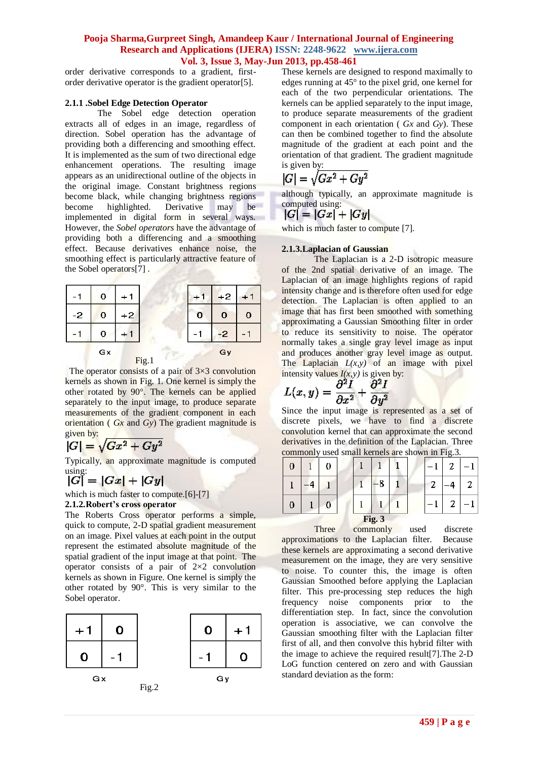# **Pooja Sharma,Gurpreet Singh, Amandeep Kaur / International Journal of Engineering Research and Applications (IJERA) ISSN: 2248-9622 www.ijera.com Vol. 3, Issue 3, May-Jun 2013, pp.458-461**

order derivative corresponds to a gradient, firstorder derivative operator is the gradient operator[5].

### **2.1.1 .Sobel Edge Detection Operator**

The Sobel edge detection operation extracts all of edges in an image, regardless of direction. Sobel operation has the advantage of providing both a differencing and smoothing effect. It is implemented as the sum of two directional edge enhancement operations. The resulting image appears as an unidirectional outline of the objects in the original image. Constant brightness regions become black, while changing brightness regions become highlighted. Derivative may be implemented in digital form in several ways. However, the *Sobel operators* have the advantage of providing both a differencing and a smoothing effect. Because derivatives enhance noise, the smoothing effect is particularly attractive feature of the Sobel operators[7] .



The operator consists of a pair of  $3\times3$  convolution kernels as shown in Fig. 1. One kernel is simply the other rotated by 90°. The kernels can be applied separately to the input image, to produce separate measurements of the gradient component in each orientation ( *Gx* and *Gy*) The gradient magnitude is given by:

$$
|G| = \sqrt{Gx^2 + Gy^2}
$$

Typically, an approximate magnitude is computed

# using:<br> $|G| = |Gx| + |Gy|$

which is much faster to compute.[6]-[7]

# **2.1.2.Robert's cross operator**

The Roberts Cross operator performs a simple, quick to compute, 2-D spatial gradient measurement on an image. Pixel values at each point in the output represent the estimated absolute magnitude of the spatial gradient of the input image at that point. The operator consists of a pair of 2×2 convolution kernels as shown in Figure. One kernel is simply the other rotated by 90°. This is very similar to the Sobel operator.



These kernels are designed to respond maximally to edges running at 45° to the pixel grid, one kernel for each of the two perpendicular orientations. The kernels can be applied separately to the input image, to produce separate measurements of the gradient component in each orientation ( *Gx* and *Gy*). These can then be combined together to find the absolute magnitude of the gradient at each point and the orientation of that gradient. The gradient magnitude is given by:

$$
|G| = \sqrt{Gx^2 + Gy^2}
$$

although typically, an approximate magnitude is computed using:

$$
|G| = |Gx| + |Gy|
$$

which is much faster to compute [7].

# **2.1.3.Laplacian of Gaussian**

The Laplacian is a 2-D isotropic measure of the 2nd spatial derivative of an image. The Laplacian of an image highlights regions of rapid intensity change and is therefore often used for edge detection. The Laplacian is often applied to an image that has first been smoothed with something approximating a G[aussian Smoothing filter](http://homepages.inf.ed.ac.uk/rbf/HIPR2/gsmooth.htm) in order to reduce its sensitivity to noise. The operator normally takes a single gray level image as input and produces another gray level image as output. The Laplacian  $L(x,y)$  of an image with pixel intensity values  $I(x, y)$  is given by:

$$
L(x,y)=\frac{\partial^2 I}{\partial x^2}+\frac{\partial^2 I}{\partial y^2}
$$

Since the input image is represented as a set of discrete pixels, we have to find a discrete convolution kernel that can approximate the second derivatives in the definition of the Laplacian. Three commonly used small kernels are shown in Fig.3.

| O      |  | υ |  |  |   |  |  |   | c |   |
|--------|--|---|--|--|---|--|--|---|---|---|
|        |  |   |  |  | o |  |  | c |   | σ |
|        |  |   |  |  |   |  |  |   |   |   |
| Fig. 3 |  |   |  |  |   |  |  |   |   |   |

Three commonly used discrete approximations to the Laplacian filter. Because these kernels are approximating a second derivative measurement on the image, they are very sensitive to noise. To counter this, the image is often Gaussian Smoothed before applying the Laplacian filter. This pre-processing step reduces the high frequency noise components prior to the differentiation step. In fact, since the convolution operation is associative, we can convolve the Gaussian smoothing filter with the Laplacian filter first of all, and then convolve this hybrid filter with the image to achieve the required result[7].The 2-D LoG function centered on zero and with Gaussian standard deviation as the form: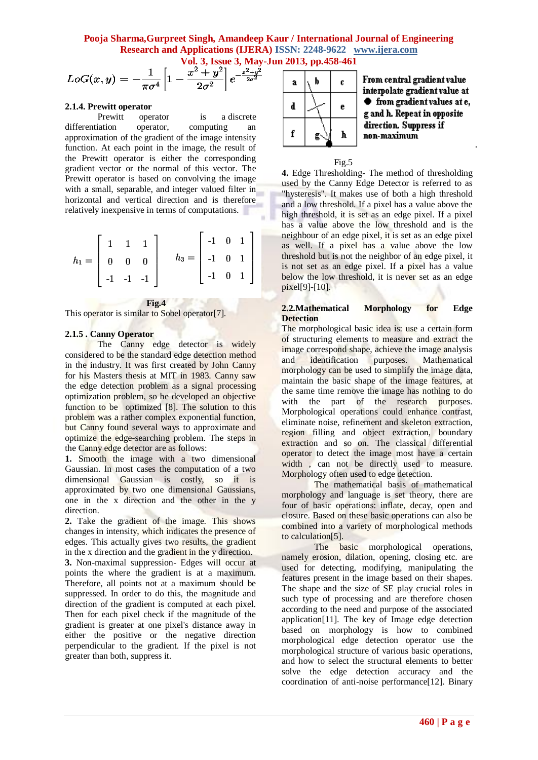**Pooja Sharma,Gurpreet Singh, Amandeep Kaur / International Journal of Engineering Research and Applications (IJERA) ISSN: 2248-9622 www.ijera.com Vol. 3, Issue 3, May-Jun 2013, pp.458-461**

$$
LoG(x,y) = -\frac{1}{\pi \sigma^4} \left[ 1 - \frac{x^2 + y^2}{2\sigma^2} \right] e^{-\frac{x^2 + y^2}{2\sigma^2}}
$$

#### **2.1.4. Prewitt operator**

Prewitt operator is a [discrete](http://en.wikipedia.org/wiki/Difference_operator)  [differentiation operator,](http://en.wikipedia.org/wiki/Difference_operator) computing an approximation of the [gradient](http://en.wikipedia.org/wiki/Image_gradient) of the image intensity function. At each point in the image, the result of the Prewitt operator is either the corresponding gradient vector or the normal of this vector. The Prewitt operator is based on convolving the image with a small, separable, and integer valued filter in horizontal and vertical direction and is therefore relatively inexpensive in terms of computations.

|                                                 | $\begin{bmatrix} 1 & 1 & 1 \end{bmatrix}$ |  |                                                  | $\begin{bmatrix} -1 & 0 & 1 \end{bmatrix}$ |  |  |
|-------------------------------------------------|-------------------------------------------|--|--------------------------------------------------|--------------------------------------------|--|--|
| $h_1 = \begin{bmatrix} 0 & 0 & 0 \end{bmatrix}$ |                                           |  | $h_3 = \begin{vmatrix} -1 & 0 & 1 \end{vmatrix}$ |                                            |  |  |
|                                                 | $-1$ $-1$ $-1$                            |  |                                                  | $\begin{bmatrix} -1 & 0 & 1 \end{bmatrix}$ |  |  |

 **Fig.4**

This operator is similar to Sobel operator<sup>[7]</sup>.

#### **2.1.5 . Canny Operator**

The Canny edge detector is widely considered to be the standard edge detection method in the industry. It was first created by John Canny for his Masters thesis at MIT in 1983. Canny saw the edge detection problem as a signal processing optimization problem, so he developed an objective function to be optimized [8]. The solution to this problem was a rather complex exponential function, but Canny found several ways to approximate and optimize the edge-searching problem. The steps in the Canny edge detector are as follows:

1. Smooth the image with a two dimensional Gaussian. In most cases the computation of a two dimensional Gaussian is costly, so it is approximated by two one dimensional Gaussians, one in the x direction and the other in the y direction.

**2.** Take the gradient of the image. This shows changes in intensity, which indicates the presence of edges. This actually gives two results, the gradient in the x direction and the gradient in the y direction.

**3.** Non-maximal suppression- Edges will occur at points the where the gradient is at a maximum. Therefore, all points not at a maximum should be suppressed. In order to do this, the magnitude and direction of the gradient is computed at each pixel. Then for each pixel check if the magnitude of the gradient is greater at one pixel's distance away in either the positive or the negative direction perpendicular to the gradient. If the pixel is not greater than both, suppress it.



From central gradient value interpolate gradient value at ♦ from gradient values at e, g and h. Repeat in opposite direction. Suppress if non-maximum



**4.** Edge Thresholding- The method of thresholding used by the Canny Edge Detector is referred to as "hysteresis". It makes use of both a high threshold and a low threshold. If a pixel has a value above the high threshold, it is set as an edge pixel. If a pixel has a value above the low threshold and is the neighbour of an edge pixel, it is set as an edge pixel as well. If a pixel has a value above the low threshold but is not the neighbor of an edge pixel, it is not set as an edge pixel. If a pixel has a value below the low threshold, it is never set as an edge pixel[9]-[10].

### **2.2.Mathematical Morphology for Edge Detection**

The morphological basic idea is: use a certain form of structuring elements to measure and extract the image correspond shape, achieve the image analysis and identification purposes. Mathematical morphology can be used to simplify the image data, maintain the basic shape of the image features, at the same time remove the image has nothing to do<br>with the part of the research purposes. with the part of the research Morphological operations could enhance contrast, eliminate noise, refinement and skeleton extraction, region filling and object extraction, boundary extraction and so on. The classical differential operator to detect the image most have a certain width, can not be directly used to measure. Morphology often used to edge detection.

The mathematical basis of mathematical morphology and language is set theory, there are four of basic operations: inflate, decay, open and closure. Based on these basic operations can also be combined into a variety of morphological methods to calculation[5].

The basic morphological operations, namely erosion, dilation, opening, closing etc. are used for detecting, modifying, manipulating the features present in the image based on their shapes. The shape and the size of SE play crucial roles in such type of processing and are therefore chosen according to the need and purpose of the associated application[11]. The key of Image edge detection based on morphology is how to combined morphological edge detection operator use the morphological structure of various basic operations, and how to select the structural elements to better solve the edge detection accuracy and the coordination of anti-noise performance[12]. Binary